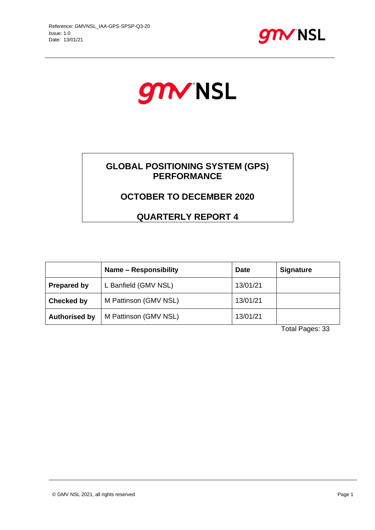



## **GLOBAL POSITIONING SYSTEM (GPS) PERFORMANCE**

## **OCTOBER TO DECEMBER 2020**

**QUARTERLY REPORT 4**

|                      | Name - Responsibility | <b>Date</b> | <b>Signature</b> |
|----------------------|-----------------------|-------------|------------------|
| <b>Prepared by</b>   | L Banfield (GMV NSL)  | 13/01/21    |                  |
| Checked by           | M Pattinson (GMV NSL) | 13/01/21    |                  |
| <b>Authorised by</b> | M Pattinson (GMV NSL) | 13/01/21    |                  |

Total Pages: 33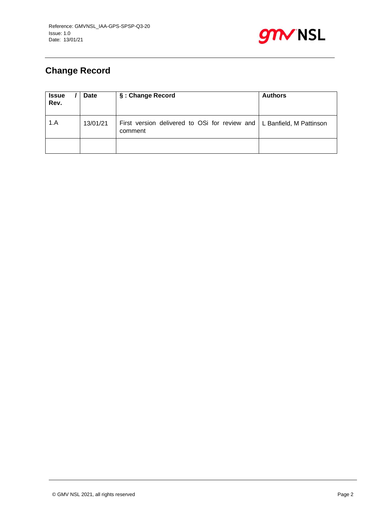

# **Change Record**

| <b>Issue</b><br>Rev. | <b>Date</b> | §: Change Record                                                                   | <b>Authors</b> |
|----------------------|-------------|------------------------------------------------------------------------------------|----------------|
| 1.A                  | 13/01/21    | First version delivered to OSi for review and   L Banfield, M Pattinson<br>comment |                |
|                      |             |                                                                                    |                |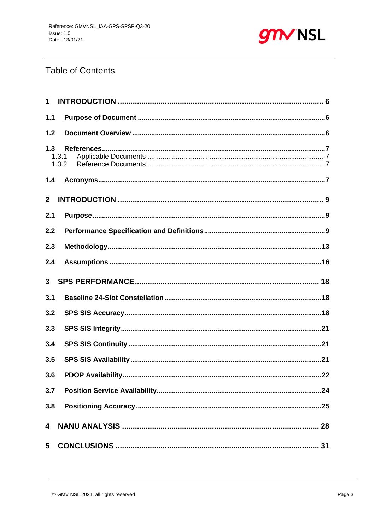

## **Table of Contents**

| $\mathbf 1$    |                |
|----------------|----------------|
| 1.1            |                |
| 1.2            |                |
| 1.3            | 1.3.1<br>1.3.2 |
| 1.4            |                |
| 2 <sup>1</sup> |                |
| 2.1            |                |
| 2.2            |                |
| 2.3            |                |
| 2.4            |                |
| 3 <sup>1</sup> |                |
| 3.1            |                |
| 3.2            |                |
| 3.3            |                |
| 3.4            |                |
| 3.5            |                |
| 3.6            |                |
| 3.7            |                |
| 3.8            |                |
| 4              |                |
| 5              |                |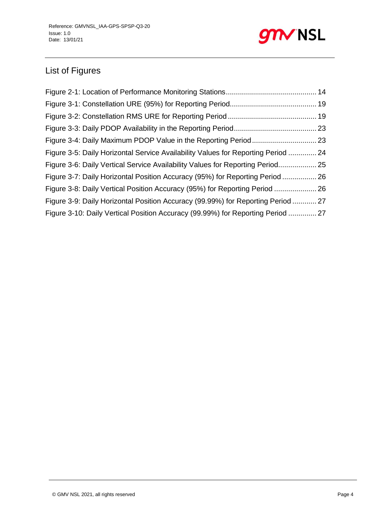

# List of Figures

| Figure 3-5: Daily Horizontal Service Availability Values for Reporting Period  24 |  |
|-----------------------------------------------------------------------------------|--|
| Figure 3-6: Daily Vertical Service Availability Values for Reporting Period 25    |  |
| Figure 3-7: Daily Horizontal Position Accuracy (95%) for Reporting Period  26     |  |
| Figure 3-8: Daily Vertical Position Accuracy (95%) for Reporting Period  26       |  |
| Figure 3-9: Daily Horizontal Position Accuracy (99.99%) for Reporting Period  27  |  |
| Figure 3-10: Daily Vertical Position Accuracy (99.99%) for Reporting Period  27   |  |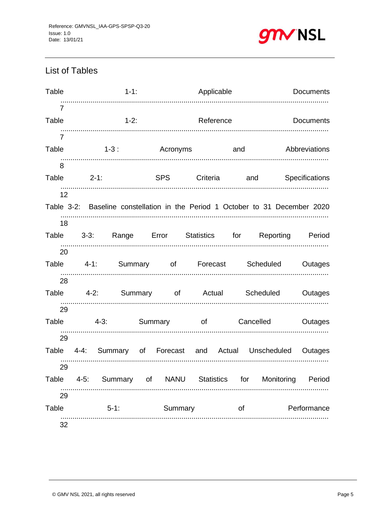

## **List of Tables**

| Table                   |          | $1 - 1$                                                                       |         | Applicable |           | Documents        |
|-------------------------|----------|-------------------------------------------------------------------------------|---------|------------|-----------|------------------|
| 7<br>Table              |          | $1-2$ :                                                                       |         |            | Reference | <b>Documents</b> |
| $\overline{7}$<br>Table |          | 1-3: Acronyms and Abbreviations                                               |         |            |           |                  |
| 8                       |          | Table 2-1: SPS Criteria and Specifications                                    |         |            |           |                  |
| 12                      |          | Table 3-2: Baseline constellation in the Period 1 October to 31 December 2020 |         |            |           |                  |
| 18                      |          | Table 3-3: Range Error Statistics for Reporting Period                        |         |            |           |                  |
| 20                      |          | Table 4-1: Summary of Forecast Scheduled Outages                              |         |            |           |                  |
| 28                      |          | Table 4-2: Summary of Actual Scheduled Outages                                |         |            |           |                  |
| 29                      |          | Table 4-3: Summary of Cancelled Outages                                       |         |            |           |                  |
| 29                      |          | Table 4-4: Summary of Forecast and Actual Unscheduled Outages                 |         |            |           |                  |
| 29<br>Table             | $4 - 5:$ | Summary of NANU Statistics for Monitoring Period                              |         |            |           |                  |
| 29<br>Table             |          | .<br>$5 - 1:$                                                                 | Summary |            | of        | Performance      |
| 32                      |          |                                                                               |         |            |           |                  |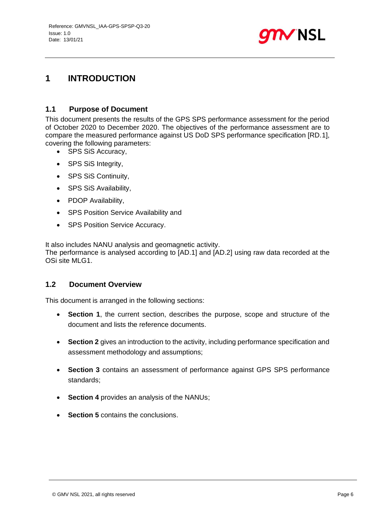

## <span id="page-5-0"></span>**1 INTRODUCTION**

### <span id="page-5-1"></span>**1.1 Purpose of Document**

This document presents the results of the GPS SPS performance assessment for the period of October 2020 to December 2020. The objectives of the performance assessment are to compare the measured performance against US DoD SPS performance specification [RD.1], covering the following parameters:

- SPS SiS Accuracy,
- SPS SiS Integrity,
- SPS SiS Continuity,
- SPS SiS Availability,
- PDOP Availability,
- SPS Position Service Availability and
- SPS Position Service Accuracy.

It also includes NANU analysis and geomagnetic activity. The performance is analysed according to [AD.1] and [AD.2] using raw data recorded at the OSi site MLG1.

### <span id="page-5-2"></span>**1.2 Document Overview**

This document is arranged in the following sections:

- **Section 1**, the current section, describes the purpose, scope and structure of the document and lists the reference documents.
- **Section 2** gives an introduction to the activity, including performance specification and assessment methodology and assumptions;
- **Section 3** contains an assessment of performance against GPS SPS performance standards;
- **Section 4** provides an analysis of the NANUs;
- **Section 5** contains the conclusions.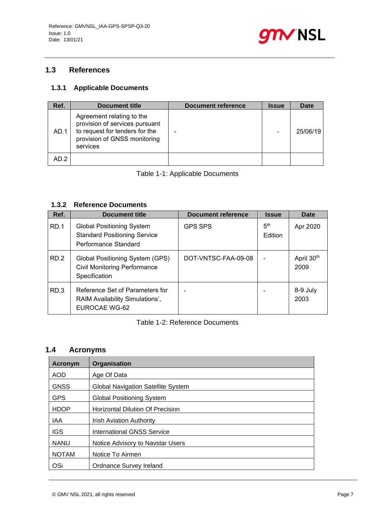

## <span id="page-6-0"></span>**1.3 References**

## <span id="page-6-1"></span>**1.3.1 Applicable Documents**

| Ref. | <b>Document title</b>                                                                                                                     | <b>Document reference</b> | <b>Issue</b> | <b>Date</b> |
|------|-------------------------------------------------------------------------------------------------------------------------------------------|---------------------------|--------------|-------------|
| AD.1 | Agreement relating to the<br>provision of services pursuant<br>to request for tenders for the<br>provision of GNSS monitoring<br>services |                           |              | 25/06/19    |
| AD.2 |                                                                                                                                           |                           |              |             |

### Table 1-1: Applicable Documents

### <span id="page-6-2"></span>**1.3.2 Reference Documents**

| Ref. | <b>Document title</b>                                                                           | <b>Document reference</b> | <b>Issue</b>               | Date               |
|------|-------------------------------------------------------------------------------------------------|---------------------------|----------------------------|--------------------|
| RD.1 | <b>Global Positioning System</b><br><b>Standard Positioning Service</b><br>Performance Standard | <b>GPS SPS</b>            | 5 <sup>th</sup><br>Edition | Apr 2020           |
| RD.2 | Global Positioning System (GPS)<br><b>Civil Monitoring Performance</b><br>Specification         | DOT-VNTSC-FAA-09-08       |                            | April 30th<br>2009 |
| RD.3 | Reference Set of Parameters for<br>RAIM Availability Simulations',<br>EUROCAE WG-62             |                           |                            | 8-9 July<br>2003   |

#### Table 1-2: Reference Documents

## <span id="page-6-3"></span>**1.4 Acronyms**

| Acronym      | Organisation                            |
|--------------|-----------------------------------------|
| <b>AOD</b>   | Age Of Data                             |
| <b>GNSS</b>  | Global Navigation Satellite System      |
| <b>GPS</b>   | <b>Global Positioning System</b>        |
| <b>HDOP</b>  | <b>Horizontal Dilution Of Precision</b> |
| <b>IAA</b>   | <b>Irish Aviation Authority</b>         |
| <b>IGS</b>   | <b>International GNSS Service</b>       |
| <b>NANU</b>  | Notice Advisory to Navstar Users        |
| <b>NOTAM</b> | Notice To Airmen                        |
| OSi          | Ordnance Survey Ireland                 |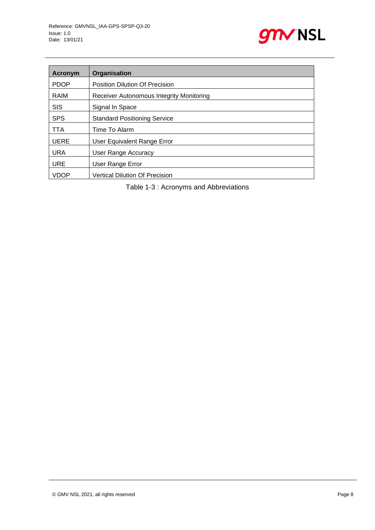

| Acronym     | Organisation                             |
|-------------|------------------------------------------|
| <b>PDOP</b> | <b>Position Dilution Of Precision</b>    |
| RAIM        | Receiver Autonomous Integrity Monitoring |
| <b>SIS</b>  | Signal In Space                          |
| <b>SPS</b>  | <b>Standard Positioning Service</b>      |
| TTA         | Time To Alarm                            |
| <b>UERE</b> | User Equivalent Range Error              |
| <b>URA</b>  | User Range Accuracy                      |
| <b>URE</b>  | User Range Error                         |
| <b>VDOP</b> | <b>Vertical Dilution Of Precision</b>    |

Table 1-3 : Acronyms and Abbreviations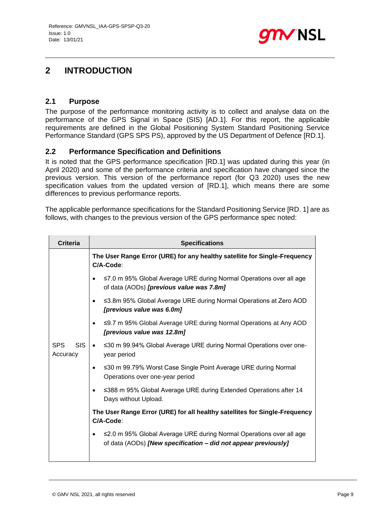

## <span id="page-8-0"></span>**2 INTRODUCTION**

### <span id="page-8-1"></span>**2.1 Purpose**

The purpose of the performance monitoring activity is to collect and analyse data on the performance of the GPS Signal in Space (SIS) [AD.1]. For this report, the applicable requirements are defined in the Global Positioning System Standard Positioning Service Performance Standard (GPS SPS PS), approved by the US Department of Defence [RD.1].

### <span id="page-8-2"></span>**2.2 Performance Specification and Definitions**

It is noted that the GPS performance specification [RD.1] was updated during this year (in April 2020) and some of the performance criteria and specification have changed since the previous version. This version of the performance report (for Q3 2020) uses the new specification values from the updated version of [RD.1], which means there are some differences to previous performance reports.

The applicable performance specifications for the Standard Positioning Service [RD. 1] are as follows, with changes to the previous version of the GPS performance spec noted:

| <b>Criteria</b>                      | <b>Specifications</b>                                                                                                                 |
|--------------------------------------|---------------------------------------------------------------------------------------------------------------------------------------|
|                                      | The User Range Error (URE) for any healthy satellite for Single-Frequency<br>C/A-Code:                                                |
|                                      | ≤7.0 m 95% Global Average URE during Normal Operations over all age<br>of data (AODs) [previous value was 7.8m]                       |
|                                      | ≤3.8m 95% Global Average URE during Normal Operations at Zero AOD<br>$\bullet$<br>[previous value was 6.0m]                           |
|                                      | ≤9.7 m 95% Global Average URE during Normal Operations at Any AOD<br>$\bullet$<br>[previous value was 12.8m]                          |
| <b>SPS</b><br><b>SIS</b><br>Accuracy | ≤30 m 99.94% Global Average URE during Normal Operations over one-<br>$\bullet$<br>year period                                        |
|                                      | ≤30 m 99.79% Worst Case Single Point Average URE during Normal<br>$\bullet$<br>Operations over one-year period                        |
|                                      | ≤388 m 95% Global Average URE during Extended Operations after 14<br>$\bullet$<br>Days without Upload.                                |
|                                      | The User Range Error (URE) for all healthy satellites for Single-Frequency<br>C/A-Code:                                               |
|                                      | ≤2.0 m 95% Global Average URE during Normal Operations over all age<br>of data (AODs) [New specification - did not appear previously] |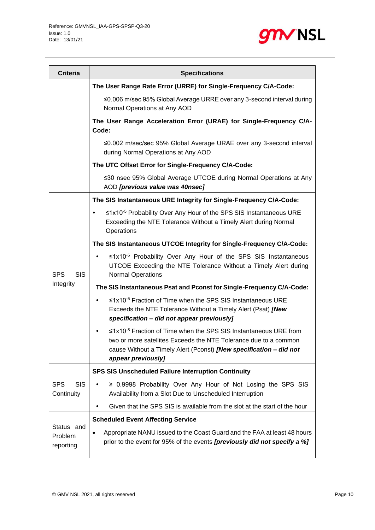

| <b>Criteria</b>                           | <b>Specifications</b>                                                                                                                                                                                                                              |
|-------------------------------------------|----------------------------------------------------------------------------------------------------------------------------------------------------------------------------------------------------------------------------------------------------|
|                                           | The User Range Rate Error (URRE) for Single-Frequency C/A-Code:                                                                                                                                                                                    |
|                                           | ≤0.006 m/sec 95% Global Average URRE over any 3-second interval during<br>Normal Operations at Any AOD                                                                                                                                             |
|                                           | The User Range Acceleration Error (URAE) for Single-Frequency C/A-<br>Code:                                                                                                                                                                        |
|                                           | ≤0.002 m/sec/sec 95% Global Average URAE over any 3-second interval<br>during Normal Operations at Any AOD                                                                                                                                         |
|                                           | The UTC Offset Error for Single-Frequency C/A-Code:                                                                                                                                                                                                |
|                                           | ≤30 nsec 95% Global Average UTCOE during Normal Operations at Any<br>AOD [previous value was 40nsec]                                                                                                                                               |
|                                           | The SIS Instantaneous URE Integrity for Single-Frequency C/A-Code:                                                                                                                                                                                 |
|                                           | ≤1x10 <sup>-5</sup> Probability Over Any Hour of the SPS SIS Instantaneous URE<br>Exceeding the NTE Tolerance Without a Timely Alert during Normal<br>Operations                                                                                   |
|                                           | The SIS Instantaneous UTCOE Integrity for Single-Frequency C/A-Code:                                                                                                                                                                               |
| <b>SPS</b><br><b>SIS</b>                  | $\leq 1 \times 10^{-5}$ Probability Over Any Hour of the SPS SIS Instantaneous<br>UTCOE Exceeding the NTE Tolerance Without a Timely Alert during<br><b>Normal Operations</b>                                                                      |
| Integrity                                 | The SIS Instantaneous Psat and Pconst for Single-Frequency C/A-Code:                                                                                                                                                                               |
|                                           | ≤1x10 <sup>-5</sup> Fraction of Time when the SPS SIS Instantaneous URE<br>Exceeds the NTE Tolerance Without a Timely Alert (Psat) [New<br>specification - did not appear previously]                                                              |
|                                           | $\leq$ 1x10 <sup>-8</sup> Fraction of Time when the SPS SIS Instantaneous URE from<br>two or more satellites Exceeds the NTE Tolerance due to a common<br>cause Without a Timely Alert (Pconst) [New specification - did not<br>appear previously] |
|                                           | <b>SPS SIS Unscheduled Failure Interruption Continuity</b>                                                                                                                                                                                         |
| <b>SPS</b><br><b>SIS</b><br>Continuity    | $\geq$ 0.9998 Probability Over Any Hour of Not Losing the SPS SIS<br>$\bullet$<br>Availability from a Slot Due to Unscheduled Interruption                                                                                                         |
|                                           | Given that the SPS SIS is available from the slot at the start of the hour                                                                                                                                                                         |
|                                           | <b>Scheduled Event Affecting Service</b>                                                                                                                                                                                                           |
| Status and<br><b>Problem</b><br>reporting | Appropriate NANU issued to the Coast Guard and the FAA at least 48 hours<br>$\bullet$<br>prior to the event for 95% of the events <i>[previously did not specify a %]</i>                                                                          |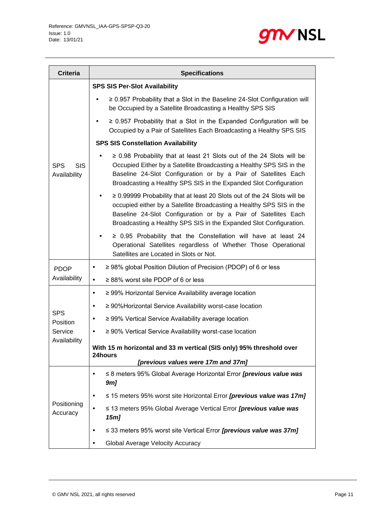

| <b>Criteria</b>                          | <b>Specifications</b>                                                                                                                                                                                                                                                                         |
|------------------------------------------|-----------------------------------------------------------------------------------------------------------------------------------------------------------------------------------------------------------------------------------------------------------------------------------------------|
|                                          | <b>SPS SIS Per-Slot Availability</b>                                                                                                                                                                                                                                                          |
|                                          | $\geq$ 0.957 Probability that a Slot in the Baseline 24-Slot Configuration will<br>be Occupied by a Satellite Broadcasting a Healthy SPS SIS                                                                                                                                                  |
|                                          | $\geq$ 0.957 Probability that a Slot in the Expanded Configuration will be<br>Occupied by a Pair of Satellites Each Broadcasting a Healthy SPS SIS                                                                                                                                            |
|                                          | <b>SPS SIS Constellation Availability</b>                                                                                                                                                                                                                                                     |
| <b>SPS</b><br><b>SIS</b><br>Availability | $\geq$ 0.98 Probability that at least 21 Slots out of the 24 Slots will be<br>Occupied Either by a Satellite Broadcasting a Healthy SPS SIS in the<br>Baseline 24-Slot Configuration or by a Pair of Satellites Each<br>Broadcasting a Healthy SPS SIS in the Expanded Slot Configuration     |
|                                          | $\geq$ 0.99999 Probability that at least 20 Slots out of the 24 Slots will be<br>occupied either by a Satellite Broadcasting a Healthy SPS SIS in the<br>Baseline 24-Slot Configuration or by a Pair of Satellites Each<br>Broadcasting a Healthy SPS SIS in the Expanded Slot Configuration. |
|                                          | $\geq$ 0.95 Probability that the Constellation will have at least 24<br>Operational Satellites regardless of Whether Those Operational<br>Satellites are Located in Slots or Not.                                                                                                             |
| <b>PDOP</b>                              | ≥ 98% global Position Dilution of Precision (PDOP) of 6 or less<br>٠                                                                                                                                                                                                                          |
| Availability                             | $\geq$ 88% worst site PDOP of 6 or less<br>$\bullet$                                                                                                                                                                                                                                          |
|                                          | ≥ 99% Horizontal Service Availability average location<br>٠                                                                                                                                                                                                                                   |
| <b>SPS</b>                               | ≥ 90% Horizontal Service Availability worst-case location<br>٠                                                                                                                                                                                                                                |
| Position                                 | ≥ 99% Vertical Service Availability average location<br>٠                                                                                                                                                                                                                                     |
| Service                                  | ≥ 90% Vertical Service Availability worst-case location<br>٠                                                                                                                                                                                                                                  |
| Availability                             | With 15 m horizontal and 33 m vertical (SIS only) 95% threshold over<br>24hours<br>[previous values were 17m and 37m]                                                                                                                                                                         |
| Positioning<br>Accuracy                  | ≤ 8 meters 95% Global Average Horizontal Error [previous value was<br>9 <sub>m</sub>                                                                                                                                                                                                          |
|                                          | $\leq$ 15 meters 95% worst site Horizontal Error <i>[previous value was 17m]</i>                                                                                                                                                                                                              |
|                                          | ≤ 13 meters 95% Global Average Vertical Error <i>[previous value was</i><br>15 <sub>m</sub>                                                                                                                                                                                                   |
|                                          | $\leq$ 33 meters 95% worst site Vertical Error <i>[previous value was 37m]</i>                                                                                                                                                                                                                |
|                                          | Global Average Velocity Accuracy                                                                                                                                                                                                                                                              |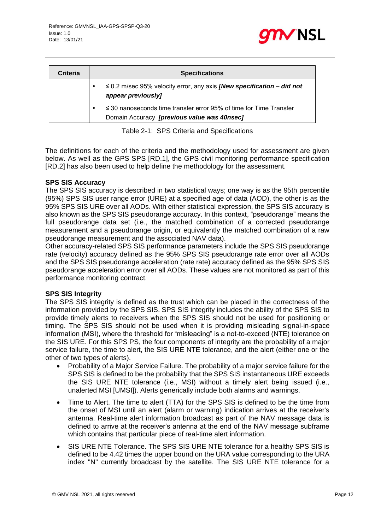

| Criteria | <b>Specifications</b>                                                                                                  |
|----------|------------------------------------------------------------------------------------------------------------------------|
|          | $\leq$ 0.2 m/sec 95% velocity error, any axis <i>[New specification – did not</i><br>appear previously]                |
|          | $\leq$ 30 nanoseconds time transfer error 95% of time for Time Transfer<br>Domain Accuracy [previous value was 40nsec] |

Table 2-1: SPS Criteria and Specifications

<span id="page-11-0"></span>The definitions for each of the criteria and the methodology used for assessment are given below. As well as the GPS SPS [RD.1], the GPS civil monitoring performance specification [RD.2] has also been used to help define the methodology for the assessment.

#### **SPS SIS Accuracy**

The SPS SIS accuracy is described in two statistical ways; one way is as the 95th percentile (95%) SPS SIS user range error (URE) at a specified age of data (AOD), the other is as the 95% SPS SIS URE over all AODs. With either statistical expression, the SPS SIS accuracy is also known as the SPS SIS pseudorange accuracy. In this context, "pseudorange" means the full pseudorange data set (i.e., the matched combination of a corrected pseudorange measurement and a pseudorange origin, or equivalently the matched combination of a raw pseudorange measurement and the associated NAV data).

Other accuracy-related SPS SIS performance parameters include the SPS SIS pseudorange rate (velocity) accuracy defined as the 95% SPS SIS pseudorange rate error over all AODs and the SPS SIS pseudorange acceleration (rate rate) accuracy defined as the 95% SPS SIS pseudorange acceleration error over all AODs. These values are not monitored as part of this performance monitoring contract.

#### **SPS SIS Integrity**

The SPS SIS integrity is defined as the trust which can be placed in the correctness of the information provided by the SPS SIS. SPS SIS integrity includes the ability of the SPS SIS to provide timely alerts to receivers when the SPS SIS should not be used for positioning or timing. The SPS SIS should not be used when it is providing misleading signal-in-space information (MSI), where the threshold for "misleading" is a not-to-exceed (NTE) tolerance on the SIS URE. For this SPS PS, the four components of integrity are the probability of a major service failure, the time to alert, the SIS URE NTE tolerance, and the alert (either one or the other of two types of alerts).

- Probability of a Major Service Failure. The probability of a major service failure for the SPS SIS is defined to be the probability that the SPS SIS instantaneous URE exceeds the SIS URE NTE tolerance (i.e., MSI) without a timely alert being issued (i.e., unalerted MSI [UMSI]). Alerts generically include both alarms and warnings.
- Time to Alert. The time to alert (TTA) for the SPS SIS is defined to be the time from the onset of MSI until an alert (alarm or warning) indication arrives at the receiver's antenna. Real-time alert information broadcast as part of the NAV message data is defined to arrive at the receiver's antenna at the end of the NAV message subframe which contains that particular piece of real-time alert information.
- SIS URE NTE Tolerance. The SPS SIS URE NTE tolerance for a healthy SPS SIS is defined to be 4.42 times the upper bound on the URA value corresponding to the URA index "N" currently broadcast by the satellite. The SIS URE NTE tolerance for a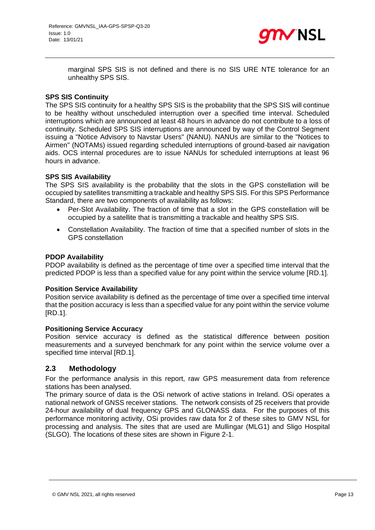

marginal SPS SIS is not defined and there is no SIS URE NTE tolerance for an unhealthy SPS SIS.

#### **SPS SIS Continuity**

The SPS SIS continuity for a healthy SPS SIS is the probability that the SPS SIS will continue to be healthy without unscheduled interruption over a specified time interval. Scheduled interruptions which are announced at least 48 hours in advance do not contribute to a loss of continuity. Scheduled SPS SIS interruptions are announced by way of the Control Segment issuing a "Notice Advisory to Navstar Users" (NANU). NANUs are similar to the "Notices to Airmen" (NOTAMs) issued regarding scheduled interruptions of ground-based air navigation aids. OCS internal procedures are to issue NANUs for scheduled interruptions at least 96 hours in advance.

#### **SPS SIS Availability**

The SPS SIS availability is the probability that the slots in the GPS constellation will be occupied by satellites transmitting a trackable and healthy SPS SIS. For this SPS Performance Standard, there are two components of availability as follows:

- Per-Slot Availability. The fraction of time that a slot in the GPS constellation will be occupied by a satellite that is transmitting a trackable and healthy SPS SIS.
- Constellation Availability. The fraction of time that a specified number of slots in the GPS constellation

#### **PDOP Availability**

PDOP availability is defined as the percentage of time over a specified time interval that the predicted PDOP is less than a specified value for any point within the service volume [RD.1].

#### **Position Service Availability**

Position service availability is defined as the percentage of time over a specified time interval that the position accuracy is less than a specified value for any point within the service volume [RD.1].

#### **Positioning Service Accuracy**

Position service accuracy is defined as the statistical difference between position measurements and a surveyed benchmark for any point within the service volume over a specified time interval [RD.1].

#### <span id="page-12-0"></span>**2.3 Methodology**

For the performance analysis in this report, raw GPS measurement data from reference stations has been analysed.

The primary source of data is the OSi network of active stations in Ireland. OSi operates a national network of GNSS receiver stations. The network consists of 25 receivers that provide 24-hour availability of dual frequency GPS and GLONASS data. For the purposes of this performance monitoring activity, OSi provides raw data for 2 of these sites to GMV NSL for processing and analysis. The sites that are used are Mullingar (MLG1) and Sligo Hospital (SLGO). The locations of these sites are shown in [Figure 2-1.](#page-13-0)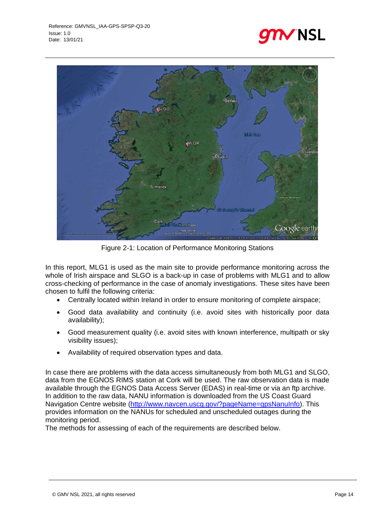



Figure 2-1: Location of Performance Monitoring Stations

<span id="page-13-0"></span>In this report, MLG1 is used as the main site to provide performance monitoring across the whole of Irish airspace and SLGO is a back-up in case of problems with MLG1 and to allow cross-checking of performance in the case of anomaly investigations. These sites have been chosen to fulfil the following criteria:

- Centrally located within Ireland in order to ensure monitoring of complete airspace;
- Good data availability and continuity (i.e. avoid sites with historically poor data availability);
- Good measurement quality (i.e. avoid sites with known interference, multipath or sky visibility issues);
- Availability of required observation types and data.

In case there are problems with the data access simultaneously from both MLG1 and SLGO, data from the EGNOS RIMS station at Cork will be used. The raw observation data is made available through the EGNOS Data Access Server (EDAS) in real-time or via an ftp archive. In addition to the raw data, NANU information is downloaded from the US Coast Guard Navigation Centre website [\(http://www.navcen.uscg.gov/?pageName=gpsNanuInfo\)](http://www.navcen.uscg.gov/?pageName=gpsNanuInfo). This provides information on the NANUs for scheduled and unscheduled outages during the monitoring period.

The methods for assessing of each of the requirements are described below.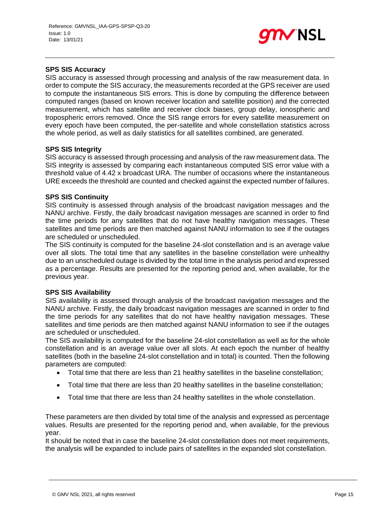

#### **SPS SIS Accuracy**

SIS accuracy is assessed through processing and analysis of the raw measurement data. In order to compute the SIS accuracy, the measurements recorded at the GPS receiver are used to compute the instantaneous SIS errors. This is done by computing the difference between computed ranges (based on known receiver location and satellite position) and the corrected measurement, which has satellite and receiver clock biases, group delay, ionospheric and tropospheric errors removed. Once the SIS range errors for every satellite measurement on every epoch have been computed, the per-satellite and whole constellation statistics across the whole period, as well as daily statistics for all satellites combined, are generated.

#### **SPS SIS Integrity**

SIS accuracy is assessed through processing and analysis of the raw measurement data. The SIS integrity is assessed by comparing each instantaneous computed SIS error value with a threshold value of 4.42 x broadcast URA. The number of occasions where the instantaneous URE exceeds the threshold are counted and checked against the expected number of failures.

#### **SPS SIS Continuity**

SIS continuity is assessed through analysis of the broadcast navigation messages and the NANU archive. Firstly, the daily broadcast navigation messages are scanned in order to find the time periods for any satellites that do not have healthy navigation messages. These satellites and time periods are then matched against NANU information to see if the outages are scheduled or unscheduled.

The SIS continuity is computed for the baseline 24-slot constellation and is an average value over all slots. The total time that any satellites in the baseline constellation were unhealthy due to an unscheduled outage is divided by the total time in the analysis period and expressed as a percentage. Results are presented for the reporting period and, when available, for the previous year.

#### **SPS SIS Availability**

SIS availability is assessed through analysis of the broadcast navigation messages and the NANU archive. Firstly, the daily broadcast navigation messages are scanned in order to find the time periods for any satellites that do not have healthy navigation messages. These satellites and time periods are then matched against NANU information to see if the outages are scheduled or unscheduled.

The SIS availability is computed for the baseline 24-slot constellation as well as for the whole constellation and is an average value over all slots. At each epoch the number of healthy satellites (both in the baseline 24-slot constellation and in total) is counted. Then the following parameters are computed:

- Total time that there are less than 21 healthy satellites in the baseline constellation;
- Total time that there are less than 20 healthy satellites in the baseline constellation;
- Total time that there are less than 24 healthy satellites in the whole constellation.

These parameters are then divided by total time of the analysis and expressed as percentage values. Results are presented for the reporting period and, when available, for the previous year.

It should be noted that in case the baseline 24-slot constellation does not meet requirements, the analysis will be expanded to include pairs of satellites in the expanded slot constellation.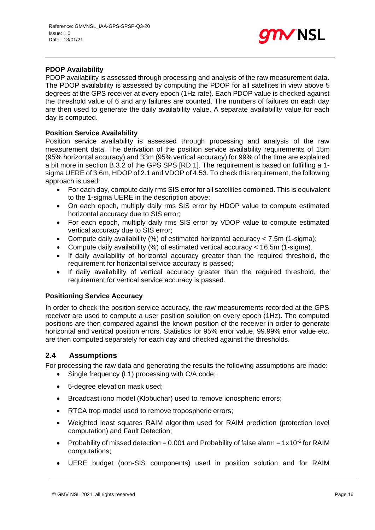

#### **PDOP Availability**

PDOP availability is assessed through processing and analysis of the raw measurement data. The PDOP availability is assessed by computing the PDOP for all satellites in view above 5 degrees at the GPS receiver at every epoch (1Hz rate). Each PDOP value is checked against the threshold value of 6 and any failures are counted. The numbers of failures on each day are then used to generate the daily availability value. A separate availability value for each day is computed.

#### **Position Service Availability**

Position service availability is assessed through processing and analysis of the raw measurement data. The derivation of the position service availability requirements of 15m (95% horizontal accuracy) and 33m (95% vertical accuracy) for 99% of the time are explained a bit more in section B.3.2 of the GPS SPS [RD.1]. The requirement is based on fulfilling a 1 sigma UERE of 3.6m, HDOP of 2.1 and VDOP of 4.53. To check this requirement, the following approach is used:

- For each day, compute daily rms SIS error for all satellites combined. This is equivalent to the 1-sigma UERE in the description above:
- On each epoch, multiply daily rms SIS error by HDOP value to compute estimated horizontal accuracy due to SIS error;
- For each epoch, multiply daily rms SIS error by VDOP value to compute estimated vertical accuracy due to SIS error;
- Compute daily availability (%) of estimated horizontal accuracy < 7.5m (1-sigma);
- Compute daily availability (%) of estimated vertical accuracy < 16.5m (1-sigma).
- If daily availability of horizontal accuracy greater than the required threshold, the requirement for horizontal service accuracy is passed;
- If daily availability of vertical accuracy greater than the required threshold, the requirement for vertical service accuracy is passed.

#### **Positioning Service Accuracy**

In order to check the position service accuracy, the raw measurements recorded at the GPS receiver are used to compute a user position solution on every epoch (1Hz). The computed positions are then compared against the known position of the receiver in order to generate horizontal and vertical position errors. Statistics for 95% error value, 99.99% error value etc. are then computed separately for each day and checked against the thresholds.

#### <span id="page-15-0"></span>**2.4 Assumptions**

For processing the raw data and generating the results the following assumptions are made:

- Single frequency (L1) processing with C/A code;
- 5-degree elevation mask used;
- Broadcast iono model (Klobuchar) used to remove ionospheric errors;
- RTCA trop model used to remove tropospheric errors;
- Weighted least squares RAIM algorithm used for RAIM prediction (protection level computation) and Fault Detection;
- Probability of missed detection = 0.001 and Probability of false alarm =  $1x10^{-5}$  for RAIM computations;
- UERE budget (non-SIS components) used in position solution and for RAIM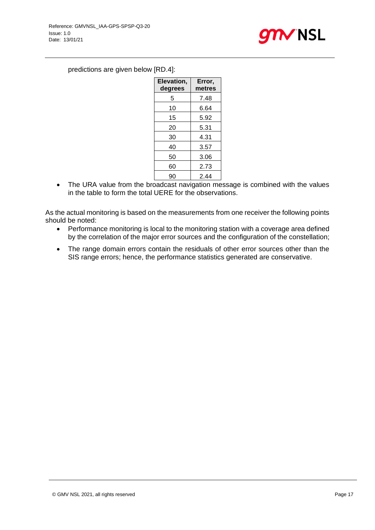

### predictions are given below [RD.4]:

| Elevation,<br>degrees | Error,<br>metres |
|-----------------------|------------------|
| 5                     | 7.48             |
| 10                    | 6.64             |
| 15                    | 5.92             |
| 20                    | 5.31             |
| 30                    | 4.31             |
| 40                    | 3.57             |
| 50                    | 3.06             |
| 60                    | 2.73             |
| 90                    | 2.44             |

• The URA value from the broadcast navigation message is combined with the values in the table to form the total UERE for the observations.

As the actual monitoring is based on the measurements from one receiver the following points should be noted:

- Performance monitoring is local to the monitoring station with a coverage area defined by the correlation of the major error sources and the configuration of the constellation;
- The range domain errors contain the residuals of other error sources other than the SIS range errors; hence, the performance statistics generated are conservative.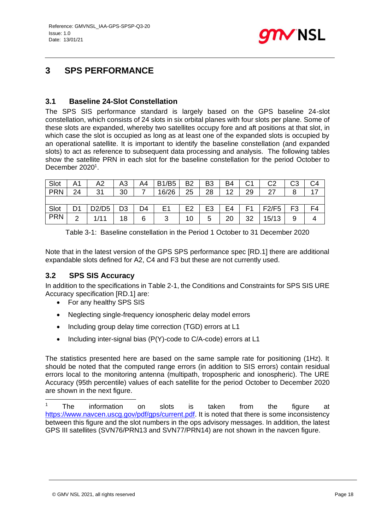

## <span id="page-17-0"></span>**3 SPS PERFORMANCE**

### <span id="page-17-1"></span>**3.1 Baseline 24-Slot Constellation**

The SPS SIS performance standard is largely based on the GPS baseline 24-slot constellation, which consists of 24 slots in six orbital planes with four slots per plane. Some of these slots are expanded, whereby two satellites occupy fore and aft positions at that slot, in which case the slot is occupied as long as at least one of the expanded slots is occupied by an operational satellite. It is important to identify the baseline constellation (and expanded slots) to act as reference to subsequent data processing and analysis. The following tables show the satellite PRN in each slot for the baseline constellation for the period October to December 2020<sup>1</sup>.

| Slot       | A1 | A2    | Δ?<br>冖 | A4 | <b>B1/B5</b>   | B <sub>2</sub> | B <sub>3</sub> | B4 | C1 | C <sub>2</sub> | CЗ             |  |
|------------|----|-------|---------|----|----------------|----------------|----------------|----|----|----------------|----------------|--|
| <b>PRN</b> | 24 | 31    | 30      |    | 16/26          | 25             | 28             | 12 | 29 | 27<br>▵        | 8              |  |
|            |    |       |         |    |                |                |                |    |    |                |                |  |
| Slot       | D1 | D2/D5 | D3      | D4 | E <sub>1</sub> | E2             | E3             | E4 | Ε1 | F2/F5          | F <sub>3</sub> |  |
| <b>PRN</b> | ⌒  | 1/11  | 18      | 6  | 3              | 10             | 5              | 20 | 32 | 15/13          | 9              |  |

Table 3-1: Baseline constellation in the Period 1 October to 31 December 2020

Note that in the latest version of the GPS SPS performance spec [RD.1] there are additional expandable slots defined for A2, C4 and F3 but these are not currently used.

## <span id="page-17-2"></span>**3.2 SPS SIS Accuracy**

In addition to the specifications in [Table 2-1,](#page-11-0) the Conditions and Constraints for SPS SIS URE Accuracy specification [RD.1] are:

- For any healthy SPS SIS
- Neglecting single-frequency ionospheric delay model errors
- Including group delay time correction (TGD) errors at L1
- Including inter-signal bias (P(Y)-code to C/A-code) errors at L1

The statistics presented here are based on the same sample rate for positioning (1Hz). It should be noted that the computed range errors (in addition to SIS errors) contain residual errors local to the monitoring antenna (multipath, tropospheric and ionospheric). The URE Accuracy (95th percentile) values of each satellite for the period October to December 2020 are shown in the next figure.

<sup>1</sup> The information on slots is taken from the figure at [https://www.navcen.uscg.gov/pdf/gps/current.pdf.](https://www.navcen.uscg.gov/pdf/gps/current.pdf) It is noted that there is some inconsistency between this figure and the slot numbers in the ops advisory messages. In addition, the latest GPS III satellites (SVN76/PRN13 and SVN77/PRN14) are not shown in the navcen figure.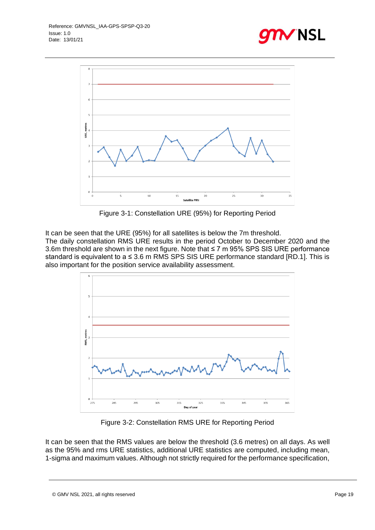



Figure 3-1: Constellation URE (95%) for Reporting Period

<span id="page-18-0"></span>It can be seen that the URE (95%) for all satellites is below the 7m threshold.

The daily constellation RMS URE results in the period October to December 2020 and the 3.6m threshold are shown in the next figure. Note that ≤ 7 m 95% SPS SIS URE performance standard is equivalent to  $a \le 3.6$  m RMS SPS SIS URE performance standard [RD.1]. This is also important for the position service availability assessment.



Figure 3-2: Constellation RMS URE for Reporting Period

<span id="page-18-1"></span>It can be seen that the RMS values are below the threshold (3.6 metres) on all days. As well as the 95% and rms URE statistics, additional URE statistics are computed, including mean, 1-sigma and maximum values. Although not strictly required for the performance specification,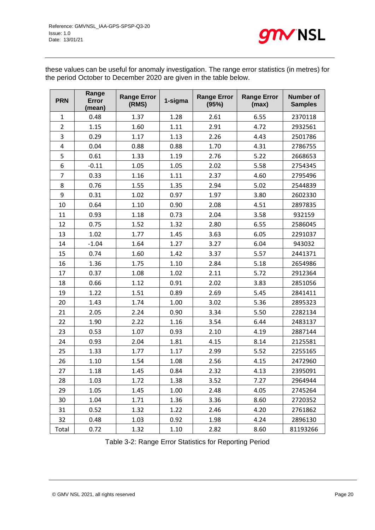

these values can be useful for anomaly investigation. The range error statistics (in metres) for the period October to December 2020 are given in the table below.

| <b>PRN</b>     | Range<br>Error<br>(mean) | <b>Range Error</b><br>(RMS) | 1-sigma | <b>Range Error</b><br>(95%) | <b>Range Error</b><br>(max) | <b>Number of</b><br><b>Samples</b> |
|----------------|--------------------------|-----------------------------|---------|-----------------------------|-----------------------------|------------------------------------|
| $\mathbf{1}$   | 0.48                     | 1.37                        | 1.28    | 2.61                        | 6.55                        | 2370118                            |
| $\overline{2}$ | 1.15                     | 1.60                        | 1.11    | 2.91                        | 4.72                        | 2932561                            |
| 3              | 0.29                     | 1.17                        | 1.13    | 2.26                        | 4.43                        | 2501786                            |
| $\overline{4}$ | 0.04                     | 0.88                        | 0.88    | 1.70                        | 4.31                        | 2786755                            |
| 5              | 0.61                     | 1.33                        | 1.19    | 2.76                        | 5.22                        | 2668653                            |
| 6              | $-0.11$                  | 1.05                        | 1.05    | 2.02                        | 5.58                        | 2754345                            |
| 7              | 0.33                     | 1.16                        | 1.11    | 2.37                        | 4.60                        | 2795496                            |
| 8              | 0.76                     | 1.55                        | 1.35    | 2.94                        | 5.02                        | 2544839                            |
| 9              | 0.31                     | 1.02                        | 0.97    | 1.97                        | 3.80                        | 2602330                            |
| 10             | 0.64                     | 1.10                        | 0.90    | 2.08                        | 4.51                        | 2897835                            |
| 11             | 0.93                     | 1.18                        | 0.73    | 2.04                        | 3.58                        | 932159                             |
| 12             | 0.75                     | 1.52                        | 1.32    | 2.80                        | 6.55                        | 2586045                            |
| 13             | 1.02                     | 1.77                        | 1.45    | 3.63                        | 6.05                        | 2291037                            |
| 14             | $-1.04$                  | 1.64                        | 1.27    | 3.27                        | 6.04                        | 943032                             |
| 15             | 0.74                     | 1.60                        | 1.42    | 3.37                        | 5.57                        | 2441371                            |
| 16             | 1.36                     | 1.75                        | 1.10    | 2.84                        | 5.18                        | 2654986                            |
| 17             | 0.37                     | 1.08                        | 1.02    | 2.11                        | 5.72                        | 2912364                            |
| 18             | 0.66                     | 1.12                        | 0.91    | 2.02                        | 3.83                        | 2851056                            |
| 19             | 1.22                     | 1.51                        | 0.89    | 2.69                        | 5.45                        | 2841411                            |
| 20             | 1.43                     | 1.74                        | 1.00    | 3.02                        | 5.36                        | 2895323                            |
| 21             | 2.05                     | 2.24                        | 0.90    | 3.34                        | 5.50                        | 2282134                            |
| 22             | 1.90                     | 2.22                        | 1.16    | 3.54                        | 6.44                        | 2483137                            |
| 23             | 0.53                     | 1.07                        | 0.93    | 2.10                        | 4.19                        | 2887144                            |
| 24             | 0.93                     | 2.04                        | 1.81    | 4.15                        | 8.14                        | 2125581                            |
| 25             | 1.33                     | 1.77                        | 1.17    | 2.99                        | 5.52                        | 2255165                            |
| 26             | 1.10                     | 1.54                        | 1.08    | 2.56                        | 4.15                        | 2472960                            |
| 27             | 1.18                     | 1.45                        | 0.84    | 2.32                        | 4.13                        | 2395091                            |
| 28             | 1.03                     | 1.72                        | 1.38    | 3.52                        | 7.27                        | 2964944                            |
| 29             | 1.05                     | 1.45                        | 1.00    | 2.48                        | 4.05                        | 2745264                            |
| 30             | 1.04                     | 1.71                        | 1.36    | 3.36                        | 8.60                        | 2720352                            |
| 31             | 0.52                     | 1.32                        | 1.22    | 2.46                        | 4.20                        | 2761862                            |
| 32             | 0.48                     | 1.03                        | 0.92    | 1.98                        | 4.24                        | 2896130                            |
| Total          | 0.72                     | 1.32                        | 1.10    | 2.82                        | 8.60                        | 81193266                           |

Table 3-2: Range Error Statistics for Reporting Period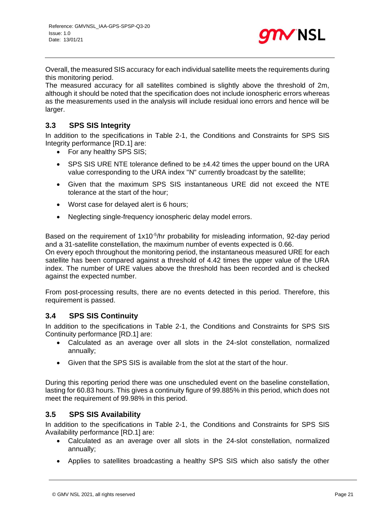

Overall, the measured SIS accuracy for each individual satellite meets the requirements during this monitoring period.

The measured accuracy for all satellites combined is slightly above the threshold of 2m, although it should be noted that the specification does not include ionospheric errors whereas as the measurements used in the analysis will include residual iono errors and hence will be larger.

## <span id="page-20-0"></span>**3.3 SPS SIS Integrity**

In addition to the specifications in [Table 2-1,](#page-11-0) the Conditions and Constraints for SPS SIS Integrity performance [RD.1] are:

- For any healthy SPS SIS;
- SPS SIS URE NTE tolerance defined to be ±4.42 times the upper bound on the URA value corresponding to the URA index "N" currently broadcast by the satellite;
- Given that the maximum SPS SIS instantaneous URE did not exceed the NTE tolerance at the start of the hour;
- Worst case for delayed alert is 6 hours;
- Neglecting single-frequency ionospheric delay model errors.

Based on the requirement of 1x10<sup>-5</sup>/hr probability for misleading information, 92-day period and a 31-satellite constellation, the maximum number of events expected is 0.66.

On every epoch throughout the monitoring period, the instantaneous measured URE for each satellite has been compared against a threshold of 4.42 times the upper value of the URA index. The number of URE values above the threshold has been recorded and is checked against the expected number.

From post-processing results, there are no events detected in this period. Therefore, this requirement is passed.

## <span id="page-20-1"></span>**3.4 SPS SIS Continuity**

In addition to the specifications in [Table 2-1,](#page-11-0) the Conditions and Constraints for SPS SIS Continuity performance [RD.1] are:

- Calculated as an average over all slots in the 24-slot constellation, normalized annually;
- Given that the SPS SIS is available from the slot at the start of the hour.

<span id="page-20-2"></span>During this reporting period there was one unscheduled event on the baseline constellation, lasting for 60.83 hours. This gives a continuity figure of 99.885% in this period, which does not meet the requirement of 99.98% in this period.

## **3.5 SPS SIS Availability**

In addition to the specifications in [Table 2-1,](#page-11-0) the Conditions and Constraints for SPS SIS Availability performance [RD.1] are:

- Calculated as an average over all slots in the 24-slot constellation, normalized annually;
- Applies to satellites broadcasting a healthy SPS SIS which also satisfy the other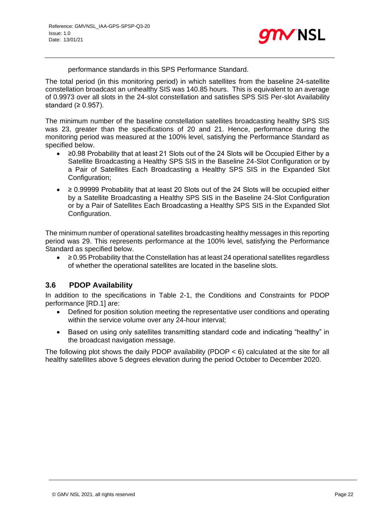

performance standards in this SPS Performance Standard.

The total period (in this monitoring period) in which satellites from the baseline 24-satellite constellation broadcast an unhealthy SIS was 140.85 hours. This is equivalent to an average of 0.9973 over all slots in the 24-slot constellation and satisfies SPS SIS Per-slot Availability standard  $(≥ 0.957)$ .

The minimum number of the baseline constellation satellites broadcasting healthy SPS SIS was 23, greater than the specifications of 20 and 21. Hence, performance during the monitoring period was measured at the 100% level, satisfying the Performance Standard as specified below.

- ≥0.98 Probability that at least 21 Slots out of the 24 Slots will be Occupied Either by a Satellite Broadcasting a Healthy SPS SIS in the Baseline 24-Slot Configuration or by a Pair of Satellites Each Broadcasting a Healthy SPS SIS in the Expanded Slot Configuration;
- ≥ 0.99999 Probability that at least 20 Slots out of the 24 Slots will be occupied either by a Satellite Broadcasting a Healthy SPS SIS in the Baseline 24-Slot Configuration or by a Pair of Satellites Each Broadcasting a Healthy SPS SIS in the Expanded Slot Configuration.

The minimum number of operational satellites broadcasting healthy messages in this reporting period was 29. This represents performance at the 100% level, satisfying the Performance Standard as specified below.

 $\bullet$   $\geq$  0.95 Probability that the Constellation has at least 24 operational satellites regardless of whether the operational satellites are located in the baseline slots.

## <span id="page-21-0"></span>**3.6 PDOP Availability**

In addition to the specifications in [Table 2-1,](#page-11-0) the Conditions and Constraints for PDOP performance [RD.1] are:

- Defined for position solution meeting the representative user conditions and operating within the service volume over any 24-hour interval;
- Based on using only satellites transmitting standard code and indicating "healthy" in the broadcast navigation message.

The following plot shows the daily PDOP availability (PDOP  $<$  6) calculated at the site for all healthy satellites above 5 degrees elevation during the period October to December 2020.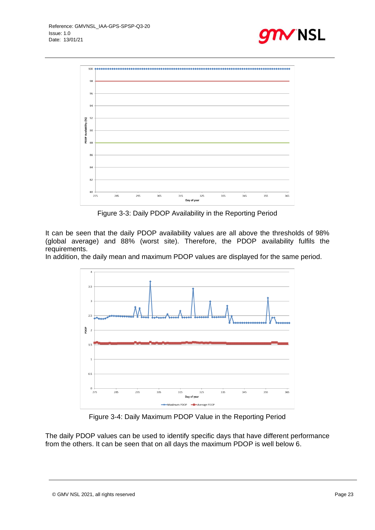





Figure 3-3: Daily PDOP Availability in the Reporting Period

<span id="page-22-0"></span>It can be seen that the daily PDOP availability values are all above the thresholds of 98% (global average) and 88% (worst site). Therefore, the PDOP availability fulfils the requirements.

In addition, the daily mean and maximum PDOP values are displayed for the same period.



Figure 3-4: Daily Maximum PDOP Value in the Reporting Period

<span id="page-22-1"></span>The daily PDOP values can be used to identify specific days that have different performance from the others. It can be seen that on all days the maximum PDOP is well below 6.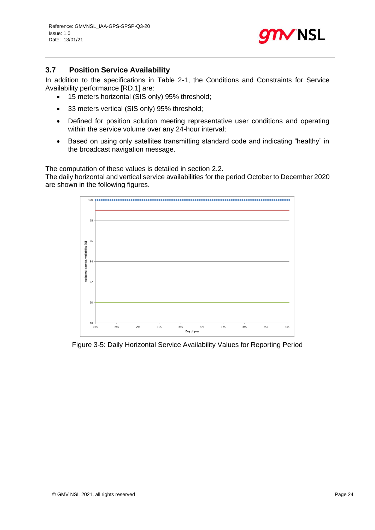

## <span id="page-23-0"></span>**3.7 Position Service Availability**

In addition to the specifications in [Table 2-1,](#page-11-0) the Conditions and Constraints for Service Availability performance [RD.1] are:

- 15 meters horizontal (SIS only) 95% threshold;
- 33 meters vertical (SIS only) 95% threshold;
- Defined for position solution meeting representative user conditions and operating within the service volume over any 24-hour interval;
- Based on using only satellites transmitting standard code and indicating "healthy" in the broadcast navigation message.

The computation of these values is detailed in section [2.2.](#page-8-2)

The daily horizontal and vertical service availabilities for the period October to December 2020 are shown in the following figures.



<span id="page-23-1"></span>Figure 3-5: Daily Horizontal Service Availability Values for Reporting Period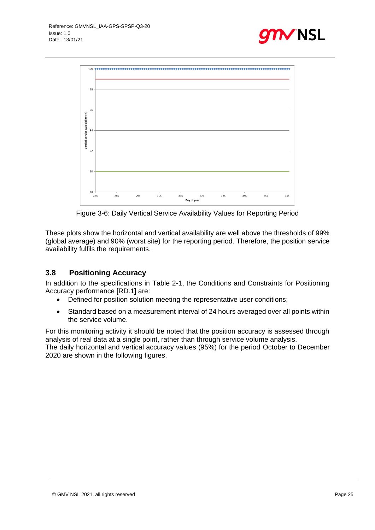



Figure 3-6: Daily Vertical Service Availability Values for Reporting Period

<span id="page-24-1"></span>These plots show the horizontal and vertical availability are well above the thresholds of 99% (global average) and 90% (worst site) for the reporting period. Therefore, the position service availability fulfils the requirements.

## <span id="page-24-0"></span>**3.8 Positioning Accuracy**

In addition to the specifications in [Table 2-1,](#page-11-0) the Conditions and Constraints for Positioning Accuracy performance [RD.1] are:

- Defined for position solution meeting the representative user conditions;
- Standard based on a measurement interval of 24 hours averaged over all points within the service volume.

For this monitoring activity it should be noted that the position accuracy is assessed through analysis of real data at a single point, rather than through service volume analysis.

The daily horizontal and vertical accuracy values (95%) for the period October to December 2020 are shown in the following figures.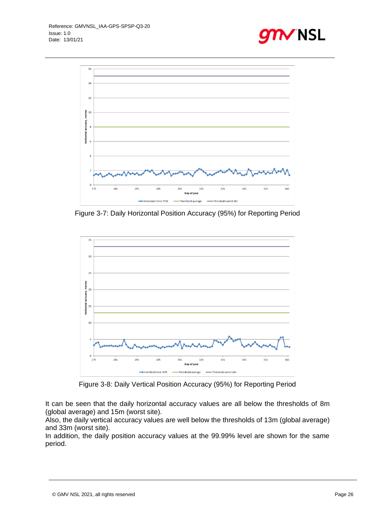



<span id="page-25-0"></span>Figure 3-7: Daily Horizontal Position Accuracy (95%) for Reporting Period



Figure 3-8: Daily Vertical Position Accuracy (95%) for Reporting Period

<span id="page-25-1"></span>It can be seen that the daily horizontal accuracy values are all below the thresholds of 8m (global average) and 15m (worst site).

Also, the daily vertical accuracy values are well below the thresholds of 13m (global average) and 33m (worst site).

In addition, the daily position accuracy values at the 99.99% level are shown for the same period.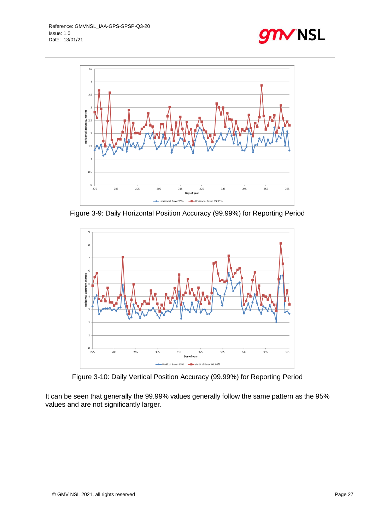



<span id="page-26-0"></span>Figure 3-9: Daily Horizontal Position Accuracy (99.99%) for Reporting Period



Figure 3-10: Daily Vertical Position Accuracy (99.99%) for Reporting Period

<span id="page-26-1"></span>It can be seen that generally the 99.99% values generally follow the same pattern as the 95% values and are not significantly larger.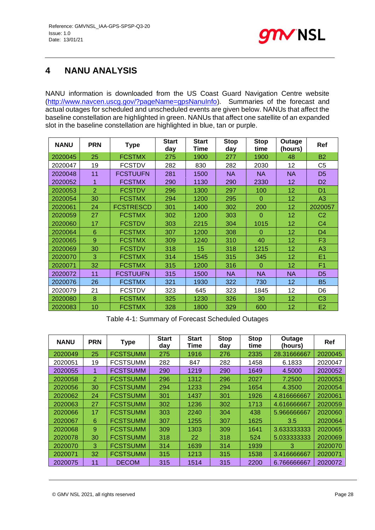

## <span id="page-27-0"></span>**4 NANU ANALYSIS**

NANU information is downloaded from the US Coast Guard Navigation Centre website [\(http://www.navcen.uscg.gov/?pageName=gpsNanuInfo\)](http://www.navcen.uscg.gov/?pageName=gpsNanuInfo). Summaries of the forecast and actual outages for scheduled and unscheduled events are given below. NANUs that affect the baseline constellation are highlighted in green. NANUs that affect one satellite of an expanded slot in the baseline constellation are highlighted in blue, tan or purple.

| <b>NANU</b> | <b>PRN</b>     | <b>Type</b>      | <b>Start</b><br>day | <b>Start</b><br><b>Time</b> | <b>Stop</b><br>day | <b>Stop</b><br>time | Outage<br>(hours) | Ref            |
|-------------|----------------|------------------|---------------------|-----------------------------|--------------------|---------------------|-------------------|----------------|
| 2020045     | 25             | <b>FCSTMX</b>    | 275                 | 1900                        | 277                | 1900                | 48                | <b>B2</b>      |
| 2020047     | 19             | <b>FCSTDV</b>    | 282                 | 830                         | 282                | 2030                | 12                | C <sub>5</sub> |
| 2020048     | 11             | <b>FCSTUUFN</b>  | 281                 | 1500                        | <b>NA</b>          | <b>NA</b>           | <b>NA</b>         | D <sub>5</sub> |
| 2020052     | 1              | <b>FCSTMX</b>    | 290                 | 1130                        | 290                | 2330                | 12                | D <sub>2</sub> |
| 2020053     | $\overline{2}$ | <b>FCSTDV</b>    | 296                 | 1300                        | 297                | 100                 | 12                | D <sub>1</sub> |
| 2020054     | 30             | <b>FCSTMX</b>    | 294                 | 1200                        | 295                | $\Omega$            | 12                | A3             |
| 2020061     | 24             | <b>FCSTRESCD</b> | 301                 | 1400                        | 302                | 200                 | 12                | 2020057        |
| 2020059     | 27             | <b>FCSTMX</b>    | 302                 | 1200                        | 303                | $\Omega$            | 12                | C <sub>2</sub> |
| 2020060     | 17             | <b>FCSTDV</b>    | 303                 | 2215                        | 304                | 1015                | 12                | C4             |
| 2020064     | 6              | <b>FCSTMX</b>    | 307                 | 1200                        | 308                | $\Omega$            | 12                | D <sub>4</sub> |
| 2020065     | 9              | <b>FCSTMX</b>    | 309                 | 1240                        | 310                | 40                  | 12                | F <sub>3</sub> |
| 2020069     | 30             | <b>FCSTDV</b>    | 318                 | 15                          | 318                | 1215                | 12                | A3             |
| 2020070     | 3              | <b>FCSTMX</b>    | 314                 | 1545                        | 315                | 345                 | 12                | E <sub>1</sub> |
| 2020071     | 32             | <b>FCSTMX</b>    | 315                 | 1200                        | 316                | $\Omega$            | 12                | F1             |
| 2020072     | 11             | <b>FCSTUUFN</b>  | 315                 | 1500                        | <b>NA</b>          | <b>NA</b>           | <b>NA</b>         | D <sub>5</sub> |
| 2020076     | 26             | <b>FCSTMX</b>    | 321                 | 1930                        | 322                | 730                 | 12                | <b>B5</b>      |
| 2020079     | 21             | <b>FCSTDV</b>    | 323                 | 645                         | 323                | 1845                | 12                | D6             |
| 2020080     | 8              | <b>FCSTMX</b>    | 325                 | 1230                        | 326                | 30                  | 12                | C <sub>3</sub> |
| 2020083     | 10             | <b>FCSTMX</b>    | 328                 | 1800                        | 329                | 600                 | 12                | E2             |

Table 4-1: Summary of Forecast Scheduled Outages

| <b>NANU</b> | <b>PRN</b>     | <b>Type</b>     | <b>Start</b><br>day | <b>Start</b><br>Time | <b>Stop</b><br>day | <b>Stop</b><br>time | Outage<br>(hours) | Ref     |
|-------------|----------------|-----------------|---------------------|----------------------|--------------------|---------------------|-------------------|---------|
| 2020049     | 25             | <b>FCSTSUMM</b> | 275                 | 1916                 | 276                | 2335                | 28.31666667       | 2020045 |
| 2020051     | 19             | <b>FCSTSUMM</b> | 282                 | 847                  | 282                | 1458                | 6.1833            | 2020047 |
| 2020055     | 1              | <b>FCSTSUMM</b> | 290                 | 1219                 | 290                | 1649                | 4.5000            | 2020052 |
| 2020058     | $\overline{2}$ | <b>FCSTSUMM</b> | 296                 | 1312                 | 296                | 2027                | 7.2500            | 2020053 |
| 2020056     | 30             | <b>FCSTSUMM</b> | 294                 | 1233                 | 294                | 1654                | 4.3500            | 2020054 |
| 2020062     | 24             | <b>FCSTSUMM</b> | 301                 | 1437                 | 301                | 1926                | 4.816666667       | 2020061 |
| 2020063     | 27             | <b>FCSTSUMM</b> | 302                 | 1236                 | 302                | 1713                | 4.616666667       | 2020059 |
| 2020066     | 17             | <b>FCSTSUMM</b> | 303                 | 2240                 | 304                | 438                 | 5.966666667       | 2020060 |
| 2020067     | 6              | <b>FCSTSUMM</b> | 307                 | 1255                 | 307                | 1625                | 3.5               | 2020064 |
| 2020068     | 9              | <b>FCSTSUMM</b> | 309                 | 1303                 | 309                | 1641                | 3.6333333333      | 2020065 |
| 2020078     | 30             | <b>FCSTSUMM</b> | 318                 | 22                   | 318                | 524                 | 5.033333333       | 2020069 |
| 2020070     | 3              | <b>FCSTSUMM</b> | 314                 | 1639                 | 314                | 1939                | 3                 | 2020070 |
| 2020071     | 32             | <b>FCSTSUMM</b> | 315                 | 1213                 | 315                | 1538                | 3.416666667       | 2020071 |
| 2020075     | 11             | <b>DECOM</b>    | 315                 | 1514                 | 315                | 2200                | 6.766666667       | 2020072 |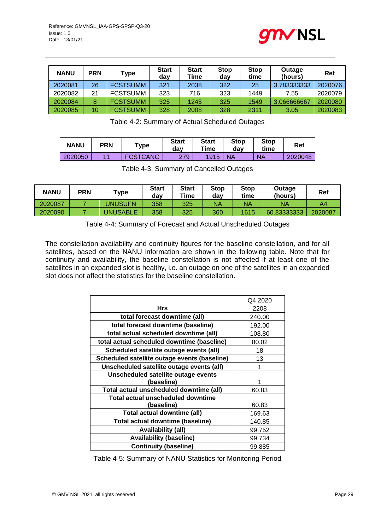

| <b>NANU</b> | <b>PRN</b> | Type            | <b>Start</b><br>dav | <b>Start</b><br>Time | <b>Stop</b><br>day | <b>Stop</b><br>time | Outage<br>(hours) | Ref     |
|-------------|------------|-----------------|---------------------|----------------------|--------------------|---------------------|-------------------|---------|
| 2020081     | 26         | <b>FCSTSUMM</b> | 321                 | 2038                 | 322                | 25                  | 3.783333333       | 2020076 |
| 2020082     | 21         | <b>FCSTSUMM</b> | 323                 | 716                  | 323                | 1449                | 7.55              | 2020079 |
| 2020084     | 8          | <b>FCSTSUMM</b> | 325                 | 1245                 | 325                | 1549                | 3.066666667       | 2020080 |
| 2020085     | 10         | <b>FCSTSUMM</b> | 328                 | 2008                 | 328                | 2311                | 3.05              | 2020083 |

Table 4-2: Summary of Actual Scheduled Outages

| <b>NANU</b> | PRN | $T$ ype         | <b>Start</b><br>dav | <b>Start</b><br>Time | Stop<br>dav | <b>Stop</b><br>time | Ref     |
|-------------|-----|-----------------|---------------------|----------------------|-------------|---------------------|---------|
| 2020050     | 44  | <b>FCSTCANC</b> | 279                 | 1915                 | <b>NA</b>   | <b>NA</b>           | 2020048 |

Table 4-3: Summary of Cancelled Outages

| <b>NANU</b> | <b>PRN</b> | $\mathsf{Type}$ | <b>Start</b><br>dav | <b>Start</b><br>Time | <b>Stop</b><br>dav | <b>Stop</b><br>time | Outage<br>(hours) | Ref     |
|-------------|------------|-----------------|---------------------|----------------------|--------------------|---------------------|-------------------|---------|
| 2020087     |            | UNUSUFN         | 358                 | 325                  | NA                 | <b>NA</b>           | <b>NA</b>         | A4      |
| 2020090     |            | <b>JNUSABLE</b> | 358                 | 325                  | 360                | 1615                | 60.833333333      | 2020087 |

Table 4-4: Summary of Forecast and Actual Unscheduled Outages

The constellation availability and continuity figures for the baseline constellation, and for all satellites, based on the NANU information are shown in the following table. Note that for continuity and availability, the baseline constellation is not affected if at least one of the satellites in an expanded slot is healthy, i.e. an outage on one of the satellites in an expanded slot does not affect the statistics for the baseline constellation.

|                                              | Q4 2020 |
|----------------------------------------------|---------|
| <b>Hrs</b>                                   | 2208    |
| total forecast downtime (all)                | 240.00  |
| total forecast downtime (baseline)           | 192.00  |
| total actual scheduled downtime (all)        | 108.80  |
| total actual scheduled downtime (baseline)   | 80.02   |
| Scheduled satellite outage events (all)      | 18      |
| Scheduled satellite outage events (baseline) | 13      |
| Unscheduled satellite outage events (all)    |         |
| Unscheduled satellite outage events          |         |
| (baseline)                                   |         |
| Total actual unscheduled downtime (all)      | 60.83   |
| Total actual unscheduled downtime            |         |
| (baseline)                                   | 60.83   |
| Total actual downtime (all)                  | 169.63  |
| Total actual downtime (baseline)             | 140.85  |
| <b>Availability (all)</b>                    | 99.752  |
| <b>Availability (baseline)</b>               | 99.734  |
| <b>Continuity (baseline)</b>                 | 99.885  |

Table 4-5: Summary of NANU Statistics for Monitoring Period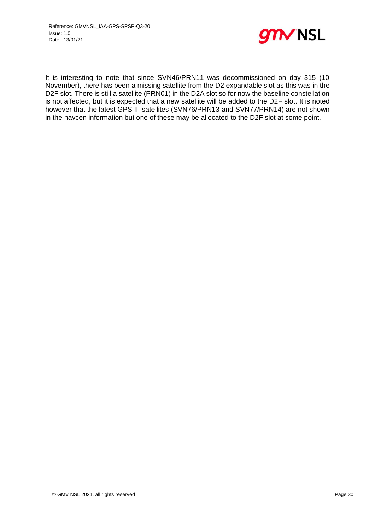

It is interesting to note that since SVN46/PRN11 was decommissioned on day 315 (10 November), there has been a missing satellite from the D2 expandable slot as this was in the D2F slot. There is still a satellite (PRN01) in the D2A slot so for now the baseline constellation is not affected, but it is expected that a new satellite will be added to the D2F slot. It is noted however that the latest GPS III satellites (SVN76/PRN13 and SVN77/PRN14) are not shown in the navcen information but one of these may be allocated to the D2F slot at some point.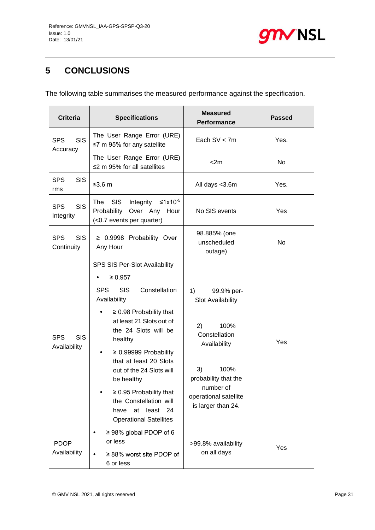

## <span id="page-30-0"></span>**5 CONCLUSIONS**

The following table summarises the measured performance against the specification.

| <b>Criteria</b>                          | <b>Specifications</b>                                                                                                                                                                                                                                                                                                                                                                                                            | <b>Measured</b><br><b>Performance</b>                                                                                                                                                  | <b>Passed</b> |
|------------------------------------------|----------------------------------------------------------------------------------------------------------------------------------------------------------------------------------------------------------------------------------------------------------------------------------------------------------------------------------------------------------------------------------------------------------------------------------|----------------------------------------------------------------------------------------------------------------------------------------------------------------------------------------|---------------|
| <b>SIS</b><br><b>SPS</b><br>Accuracy     | The User Range Error (URE)<br>$\leq$ 7 m 95% for any satellite                                                                                                                                                                                                                                                                                                                                                                   | Each $SV < 7m$                                                                                                                                                                         | Yes.          |
|                                          | The User Range Error (URE)<br>$\leq$ 2 m 95% for all satellites                                                                                                                                                                                                                                                                                                                                                                  | $<$ 2m                                                                                                                                                                                 | <b>No</b>     |
| <b>SPS</b><br><b>SIS</b><br>rms          | ≤3.6 m                                                                                                                                                                                                                                                                                                                                                                                                                           | All days <3.6m                                                                                                                                                                         | Yes.          |
| <b>SIS</b><br><b>SPS</b><br>Integrity    | ≤1x10 <sup>-5</sup><br><b>SIS</b><br>Integrity<br>The<br>Probability<br>Over Any Hour<br>(<0.7 events per quarter)                                                                                                                                                                                                                                                                                                               | No SIS events                                                                                                                                                                          | Yes           |
| <b>SPS</b><br><b>SIS</b><br>Continuity   | ≥ 0.9998 Probability Over<br>Any Hour                                                                                                                                                                                                                                                                                                                                                                                            | 98.885% (one<br>unscheduled<br>outage)                                                                                                                                                 | <b>No</b>     |
| <b>SPS</b><br><b>SIS</b><br>Availability | SPS SIS Per-Slot Availability<br>$\geq 0.957$<br><b>SPS</b><br><b>SIS</b><br>Constellation<br>Availability<br>$\geq$ 0.98 Probability that<br>at least 21 Slots out of<br>the 24 Slots will be<br>healthy<br>$\geq$ 0.99999 Probability<br>that at least 20 Slots<br>out of the 24 Slots will<br>be healthy<br>$\geq$ 0.95 Probability that<br>the Constellation will<br>least 24<br>at<br>have<br><b>Operational Satellites</b> | 1)<br>99.9% per-<br>Slot Availability<br>2)<br>100%<br>Constellation<br>Availability<br>3)<br>100%<br>probability that the<br>number of<br>operational satellite<br>is larger than 24. | Yes           |
| <b>PDOP</b><br>Availability              | $\geq$ 98% global PDOP of 6<br>or less<br>$\geq$ 88% worst site PDOP of<br>6 or less                                                                                                                                                                                                                                                                                                                                             | >99.8% availability<br>on all days                                                                                                                                                     | Yes           |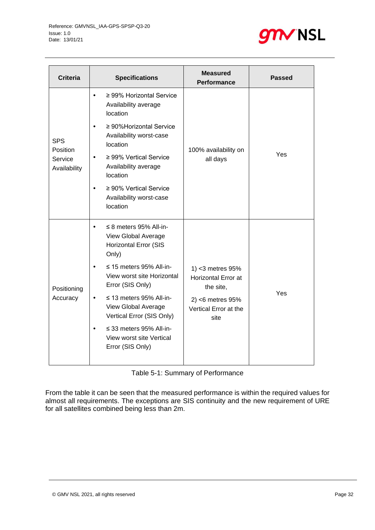

| <b>Criteria</b>                     | <b>Specifications</b>                                                                             | <b>Measured</b><br><b>Performance</b>                       | <b>Passed</b> |
|-------------------------------------|---------------------------------------------------------------------------------------------------|-------------------------------------------------------------|---------------|
|                                     | $\geq$ 99% Horizontal Service<br>$\bullet$<br>Availability average<br>location                    |                                                             |               |
| <b>SPS</b>                          | ≥ 90% Horizontal Service<br>$\bullet$<br>Availability worst-case<br>location                      | 100% availability on                                        |               |
| Position<br>Service<br>Availability | $\geq$ 99% Vertical Service<br>$\bullet$<br>Availability average<br>location                      | all days                                                    | Yes           |
|                                     | $\geq 90\%$ Vertical Service<br>$\bullet$<br>Availability worst-case<br>location                  |                                                             |               |
|                                     | $\leq$ 8 meters 95% All-in-<br>$\bullet$<br>View Global Average<br>Horizontal Error (SIS<br>Only) |                                                             |               |
| Positioning                         | $\leq$ 15 meters 95% All-in-<br>$\bullet$<br>View worst site Horizontal<br>Error (SIS Only)       | 1) <3 metres 95%<br><b>Horizontal Error at</b><br>the site, |               |
| Accuracy                            | $\leq$ 13 meters 95% All-in-<br>$\bullet$<br>View Global Average<br>Vertical Error (SIS Only)     | $2$ ) <6 metres $95%$<br>Vertical Error at the<br>site      | Yes           |
|                                     | $\leq$ 33 meters 95% All-in-<br>$\bullet$<br>View worst site Vertical<br>Error (SIS Only)         |                                                             |               |

Table 5-1: Summary of Performance

From the table it can be seen that the measured performance is within the required values for almost all requirements. The exceptions are SIS continuity and the new requirement of URE for all satellites combined being less than 2m.